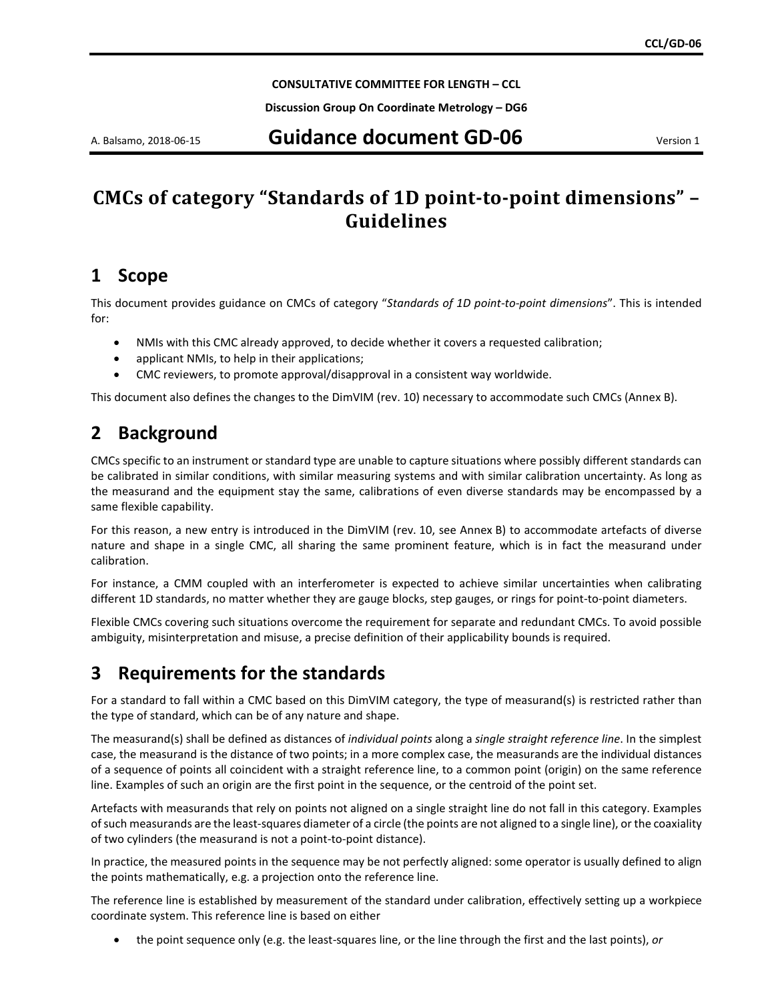**CONSULTATIVE COMMITTEE FOR LENGTH – CCL**

**Discussion Group On Coordinate Metrology – DG6**

### A. Balsamo, 2018-06-15 **Guidance document GD-06** Version 1

# **CMCs of category "Standards of 1D point-to-point dimensions" – Guidelines**

## **1 Scope**

This document provides guidance on CMCs of category "*Standards of 1D point-to-point dimensions*". This is intended for:

- NMIs with this CMC already approved, to decide whether it covers a requested calibration;
- applicant NMIs, to help in their applications;
- CMC reviewers, to promote approval/disapproval in a consistent way worldwide.

This document also defines the changes to the DimVIM (rev. 10) necessary to accommodate such CMCs (Annex B).

## <span id="page-0-1"></span>**2 Background**

CMCs specific to an instrument or standard type are unable to capture situations where possibly different standards can be calibrated in similar conditions, with similar measuring systems and with similar calibration uncertainty. As long as the measurand and the equipment stay the same, calibrations of even diverse standards may be encompassed by a same flexible capability.

For this reason, a new entry is introduced in the DimVIM (rev. 10, see Annex B) to accommodate artefacts of diverse nature and shape in a single CMC, all sharing the same prominent feature, which is in fact the measurand under calibration.

For instance, a CMM coupled with an interferometer is expected to achieve similar uncertainties when calibrating different 1D standards, no matter whether they are gauge blocks, step gauges, or rings for point-to-point diameters.

Flexible CMCs covering such situations overcome the requirement for separate and redundant CMCs. To avoid possible ambiguity, misinterpretation and misuse, a precise definition of their applicability bounds is required.

## <span id="page-0-0"></span>**3 Requirements for the standards**

For a standard to fall within a CMC based on this DimVIM category, the type of measurand(s) is restricted rather than the type of standard, which can be of any nature and shape.

The measurand(s) shall be defined as distances of *individual points* along a *single straight reference line*. In the simplest case, the measurand is the distance of two points; in a more complex case, the measurands are the individual distances of a sequence of points all coincident with a straight reference line, to a common point (origin) on the same reference line. Examples of such an origin are the first point in the sequence, or the centroid of the point set.

Artefacts with measurands that rely on points not aligned on a single straight line do not fall in this category. Examples of such measurands are the least-squares diameter of a circle (the points are not aligned to a single line), or the coaxiality of two cylinders (the measurand is not a point-to-point distance).

In practice, the measured points in the sequence may be not perfectly aligned: some operator is usually defined to align the points mathematically, e.g. a projection onto the reference line.

The reference line is established by measurement of the standard under calibration, effectively setting up a workpiece coordinate system. This reference line is based on either

• the point sequence only (e.g. the least-squares line, or the line through the first and the last points), *or*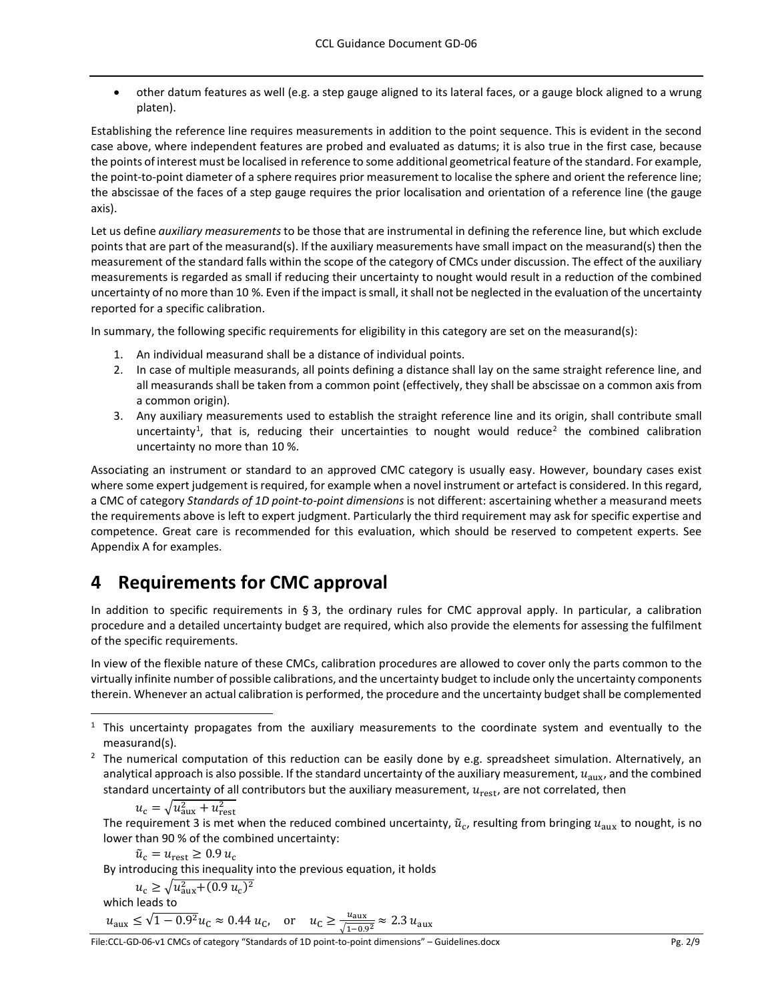• other datum features as well (e.g. a step gauge aligned to its lateral faces, or a gauge block aligned to a wrung platen).

Establishing the reference line requires measurements in addition to the point sequence. This is evident in the second case above, where independent features are probed and evaluated as datums; it is also true in the first case, because the points of interest must be localised in reference to some additional geometrical feature of the standard. For example, the point-to-point diameter of a sphere requires prior measurement to localise the sphere and orient the reference line; the abscissae of the faces of a step gauge requires the prior localisation and orientation of a reference line (the gauge axis).

Let us define *auxiliary measurements* to be those that are instrumental in defining the reference line, but which exclude points that are part of the measurand(s). If the auxiliary measurements have small impact on the measurand(s) then the measurement of the standard falls within the scope of the category of CMCs under discussion. The effect of the auxiliary measurements is regarded as small if reducing their uncertainty to nought would result in a reduction of the combined uncertainty of no more than 10 %. Even if the impact is small, it shall not be neglected in the evaluation of the uncertainty reported for a specific calibration.

<span id="page-1-3"></span>In summary, the following specific requirements for eligibility in this category are set on the measurand(s):

- 1. An individual measurand shall be a distance of individual points.
- <span id="page-1-4"></span>2. In case of multiple measurands, all points defining a distance shall lay on the same straight reference line, and all measurands shall be taken from a common point (effectively, they shall be abscissae on a common axis from a common origin).
- <span id="page-1-0"></span>3. Any auxiliary measurements used to establish the straight reference line and its origin, shall contribute small uncertainty<sup>[1](#page-1-1)</sup>, that is, reducing their uncertainties to nought would reduce<sup>[2](#page-1-2)</sup> the combined calibration uncertainty no more than 10 %.

Associating an instrument or standard to an approved CMC category is usually easy. However, boundary cases exist where some expert judgement is required, for example when a novel instrument or artefact is considered. In this regard, a CMC of category *Standards of 1D point-to-point dimensions* is not different: ascertaining whether a measurand meets the requirements above is left to expert judgment. Particularly the third requirement may ask for specific expertise and competence. Great care is recommended for this evaluation, which should be reserved to competent experts. See Appendix A for examples.

# **4 Requirements for CMC approval**

In addition to specific requirements in § [3,](#page-0-0) the ordinary rules for CMC approval apply. In particular, a calibration procedure and a detailed uncertainty budget are required, which also provide the elements for assessing the fulfilment of the specific requirements.

In view of the flexible nature of these CMCs, calibration procedures are allowed to cover only the parts common to the virtually infinite number of possible calibrations, and the uncertainty budget to include only the uncertainty components therein. Whenever an actual calibration is performed, the procedure and the uncertainty budget shall be complemented

<span id="page-1-2"></span> $<sup>2</sup>$  The numerical computation of this reduction can be easily done by e.g. spreadsheet simulation. Alternatively, an</sup> analytical approach is also possible. If the standard uncertainty of the auxiliary measurement,  $u_{\text{aux}}$ , and the combined standard uncertainty of all contributors but the auxiliary measurement,  $u_{\text{rest}}$ , are not correlated, then

$$
u_{\rm c} = \sqrt{u_{\rm aux}^2 + u_{\rm rest}^2}
$$

The requirement [3](#page-1-0) is met when the reduced combined uncertainty,  $\tilde{u}_{c}$ , resulting from bringing  $u_{\rm aux}$  to nought, is no lower than 90 % of the combined uncertainty:

 $\tilde{u}_{\rm c} = u_{\rm rest} \geq 0.9 u_{\rm c}$ 

By introducing this inequality into the previous equation, it holds

$$
u_{\rm c} \ge \sqrt{u_{\rm aux}^2 + (0.9 \, u_{\rm c})^2}
$$

which leads to

$$
u_{\text{aux}} \le \sqrt{1 - 0.9^2} u_{\text{C}} \approx 0.44 u_{\text{C}}
$$
, or  $u_{\text{C}} \ge \frac{u_{\text{aux}}}{\sqrt{1 - 0.9^2}} \approx 2.3 u_{\text{aux}}$ 

<span id="page-1-1"></span><sup>&</sup>lt;sup>1</sup> This uncertainty propagates from the auxiliary measurements to the coordinate system and eventually to the measurand(s).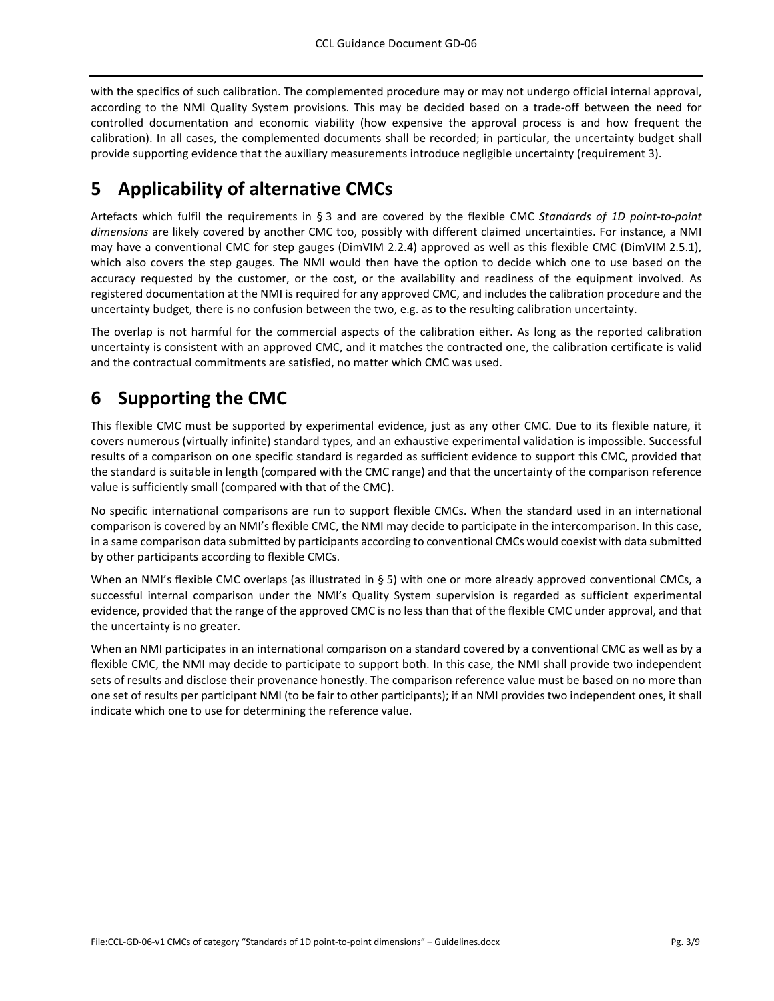with the specifics of such calibration. The complemented procedure may or may not undergo official internal approval, according to the NMI Quality System provisions. This may be decided based on a trade-off between the need for controlled documentation and economic viability (how expensive the approval process is and how frequent the calibration). In all cases, the complemented documents shall be recorded; in particular, the uncertainty budget shall provide supporting evidence that the auxiliary measurements introduce negligible uncertainty (requirement [3\)](#page-1-0).

# <span id="page-2-0"></span>**5 Applicability of alternative CMCs**

Artefacts which fulfil the requirements in § [3](#page-0-0) and are covered by the flexible CMC *Standards of 1D point-to-point dimensions* are likely covered by another CMC too, possibly with different claimed uncertainties. For instance, a NMI may have a conventional CMC for step gauges (DimVIM 2.2.4) approved as well as this flexible CMC (DimVIM 2.5.1), which also covers the step gauges. The NMI would then have the option to decide which one to use based on the accuracy requested by the customer, or the cost, or the availability and readiness of the equipment involved. As registered documentation at the NMI is required for any approved CMC, and includes the calibration procedure and the uncertainty budget, there is no confusion between the two, e.g. as to the resulting calibration uncertainty.

The overlap is not harmful for the commercial aspects of the calibration either. As long as the reported calibration uncertainty is consistent with an approved CMC, and it matches the contracted one, the calibration certificate is valid and the contractual commitments are satisfied, no matter which CMC was used.

# **6 Supporting the CMC**

This flexible CMC must be supported by experimental evidence, just as any other CMC. Due to its flexible nature, it covers numerous (virtually infinite) standard types, and an exhaustive experimental validation is impossible. Successful results of a comparison on one specific standard is regarded as sufficient evidence to support this CMC, provided that the standard is suitable in length (compared with the CMC range) and that the uncertainty of the comparison reference value is sufficiently small (compared with that of the CMC).

No specific international comparisons are run to support flexible CMCs. When the standard used in an international comparison is covered by an NMI's flexible CMC, the NMI may decide to participate in the intercomparison. In this case, in a same comparison data submitted by participants according to conventional CMCs would coexist with data submitted by other participants according to flexible CMCs.

When an NMI's flexible CMC overlaps (as illustrated in § [5\)](#page-2-0) with one or more already approved conventional CMCs, a successful internal comparison under the NMI's Quality System supervision is regarded as sufficient experimental evidence, provided that the range of the approved CMC is no less than that of the flexible CMC under approval, and that the uncertainty is no greater.

When an NMI participates in an international comparison on a standard covered by a conventional CMC as well as by a flexible CMC, the NMI may decide to participate to support both. In this case, the NMI shall provide two independent sets of results and disclose their provenance honestly. The comparison reference value must be based on no more than one set of results per participant NMI (to be fair to other participants); if an NMI provides two independent ones, it shall indicate which one to use for determining the reference value.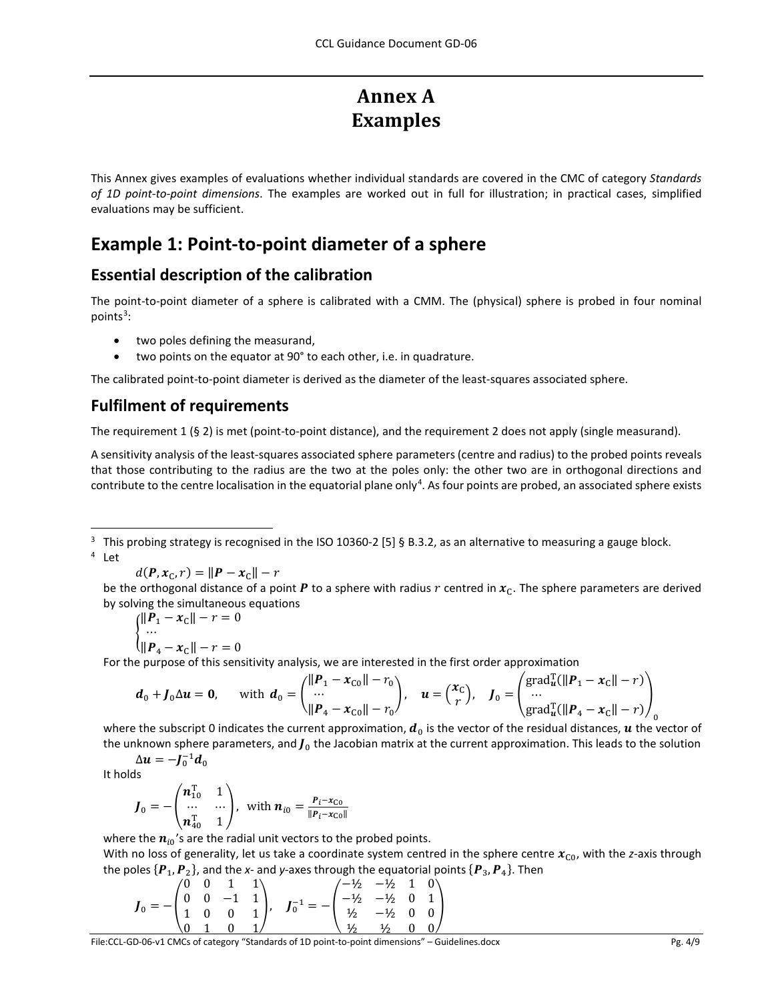# **Annex A Examples**

This Annex gives examples of evaluations whether individual standards are covered in the CMC of category *Standards of 1D point-to-point dimensions*. The examples are worked out in full for illustration; in practical cases, simplified evaluations may be sufficient.

## **Example 1: Point-to-point diameter of a sphere**

#### **Essential description of the calibration**

The point-to-point diameter of a sphere is calibrated with a CMM. The (physical) sphere is probed in four nominal points<sup>[3](#page-3-0)</sup>:

- two poles defining the measurand,
- two points on the equator at 90° to each other, i.e. in quadrature.

The calibrated point-to-point diameter is derived as the diameter of the least-squares associated sphere.

#### **Fulfilment of requirements**

The requirement [1](#page-1-3) (§ [2\)](#page-0-1) is met (point-to-point distance), and the requirement [2](#page-1-4) does not apply (single measurand).

A sensitivity analysis of the least-squares associated sphere parameters (centre and radius) to the probed points reveals that those contributing to the radius are the two at the poles only: the other two are in orthogonal directions and contribute to the centre localisation in the equatorial plane only<sup>[4](#page-3-1)</sup>. As four points are probed, an associated sphere exists

<span id="page-3-1"></span><span id="page-3-0"></span><sup>3</sup> This probing strategy is recognised in the ISO 10360-2 [\[5\]](#page-8-0) § B.3.2, as an alternative to measuring a gauge block. <sup>4</sup> Let

$$
d(\boldsymbol{P}, \boldsymbol{x}_{\text{C}}, r) = \|\boldsymbol{P} - \boldsymbol{x}_{\text{C}}\| - r
$$

be the orthogonal distance of a point P to a sphere with radius r centred in  $x_c$ . The sphere parameters are derived by solving the simultaneous equations

$$
\begin{cases}\n||\mathbf{P}_1 - \mathbf{x}_C|| - r = 0 \\
\vdots \\
||\mathbf{P}_4 - \mathbf{x}_C|| - r = 0\n\end{cases}
$$

For the purpose of this sensitivity analysis, we are interested in the first order approximation

$$
\boldsymbol{d}_0 + \boldsymbol{J}_0 \Delta \boldsymbol{u} = \boldsymbol{0}, \quad \text{ with } \boldsymbol{d}_0 = \begin{pmatrix} \|\boldsymbol{P}_1 - \boldsymbol{x}_{\text{CO}}\| - r_0 \\ \cdots \\ \|\boldsymbol{P}_4 - \boldsymbol{x}_{\text{CO}}\| - r_0 \end{pmatrix}, \quad \boldsymbol{u} = \begin{pmatrix} \boldsymbol{x}_{\text{C}} \\ \boldsymbol{r} \end{pmatrix}, \quad \boldsymbol{J}_0 = \begin{pmatrix} \text{grad}_{\boldsymbol{u}}^{\text{T}} (\|\boldsymbol{P}_1 - \boldsymbol{x}_{\text{C}}\| - r) \\ \cdots \\ \text{grad}_{\boldsymbol{u}}^{\text{T}} (\|\boldsymbol{P}_4 - \boldsymbol{x}_{\text{C}}\| - r) \end{pmatrix}_0
$$

where the subscript 0 indicates the current approximation,  $\bm{d}_0$  is the vector of the residual distances,  $\bm{u}$  the vector of the unknown sphere parameters, and  $J_0$  the Jacobian matrix at the current approximation. This leads to the solution  $\Delta u = -J_0^{-1}d_0$ 

It holds

$$
\boldsymbol{J}_0 = -\begin{pmatrix} \boldsymbol{n}_{10}^{\mathrm{T}} & 1 \\ \cdots & \cdots \\ \boldsymbol{n}_{40}^{\mathrm{T}} & 1 \end{pmatrix}, \text{ with } \boldsymbol{n}_{i0} = \frac{\boldsymbol{p}_i - \boldsymbol{x}_{\mathrm{CO}}}{\|\boldsymbol{P}_i - \boldsymbol{x}_{\mathrm{CO}}\|}
$$

where the  $n_{i0}$ 's are the radial unit vectors to the probed points.

With no loss of generality, let us take a coordinate system centred in the sphere centre  $x_{\text{CO}}$ , with the *z*-axis through the poles  $\{P_1, P_2\}$ , and the *x*- and *y*-axes through the equatorial points  $\{P_3, P_4\}$ . Then

$$
J_0 = -\begin{pmatrix} 0 & 0 & 1 & 1 \\ 0 & 0 & -1 & 1 \\ 1 & 0 & 0 & 1 \\ 0 & 1 & 0 & 1 \end{pmatrix}, \quad J_0^{-1} = -\begin{pmatrix} -\frac{1}{2} & -\frac{1}{2} & 1 & 0 \\ -\frac{1}{2} & -\frac{1}{2} & 0 & 1 \\ \frac{1}{2} & -\frac{1}{2} & 0 & 0 \\ \frac{1}{2} & \frac{1}{2} & 0 & 0 \end{pmatrix}
$$

 $\frac{1}{10}$  and  $\frac{1}{2}$   $\frac{1}{2}$   $\frac{1}{2}$   $\frac{1}{2}$   $\frac{1}{2}$   $\frac{1}{2}$   $\frac{1}{2}$   $\frac{1}{2}$   $\frac{1}{2}$   $\frac{1}{2}$   $\frac{1}{2}$   $\frac{1}{2}$   $\frac{1}{2}$   $\frac{1}{2}$   $\frac{1}{2}$   $\frac{1}{2}$   $\frac{1}{2}$   $\frac{1}{2}$   $\frac{1}{2}$   $\frac{1}{2}$   $\frac{1}{$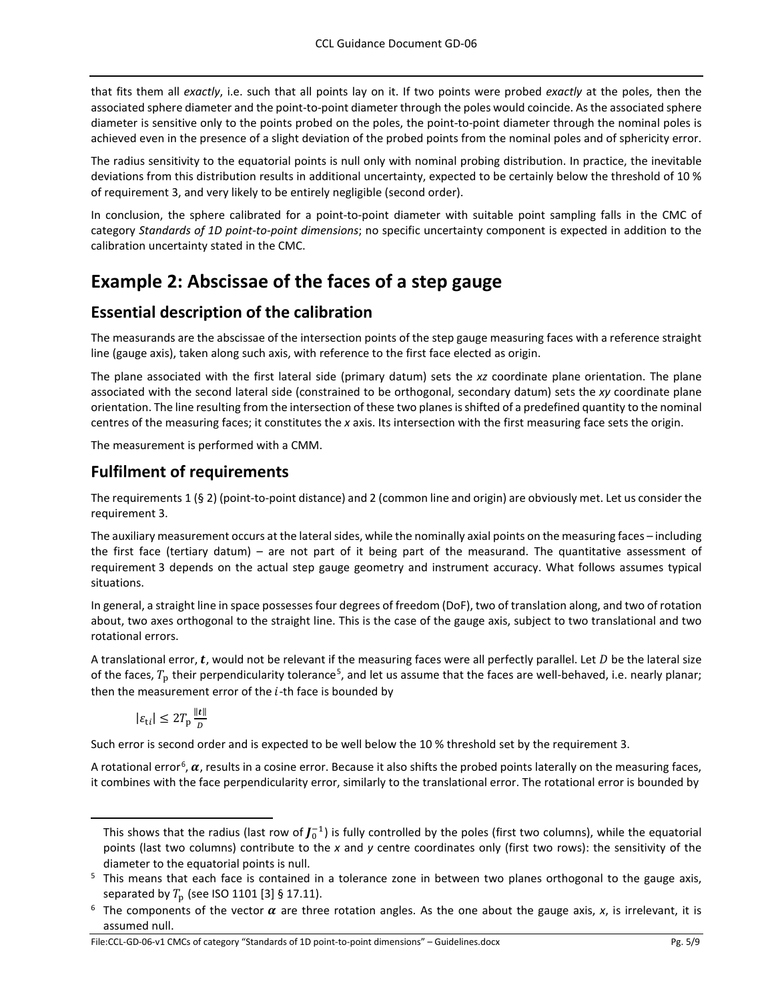that fits them all *exactly*, i.e. such that all points lay on it. If two points were probed *exactly* at the poles, then the associated sphere diameter and the point-to-point diameter through the poles would coincide. As the associated sphere diameter is sensitive only to the points probed on the poles, the point-to-point diameter through the nominal poles is achieved even in the presence of a slight deviation of the probed points from the nominal poles and of sphericity error.

The radius sensitivity to the equatorial points is null only with nominal probing distribution. In practice, the inevitable deviations from this distribution results in additional uncertainty, expected to be certainly below the threshold of 10 % of requirement [3,](#page-1-0) and very likely to be entirely negligible (second order).

In conclusion, the sphere calibrated for a point-to-point diameter with suitable point sampling falls in the CMC of category *Standards of 1D point-to-point dimensions*; no specific uncertainty component is expected in addition to the calibration uncertainty stated in the CMC.

## **Example 2: Abscissae of the faces of a step gauge**

#### **Essential description of the calibration**

The measurands are the abscissae of the intersection points of the step gauge measuring faces with a reference straight line (gauge axis), taken along such axis, with reference to the first face elected as origin.

The plane associated with the first lateral side (primary datum) sets the *xz* coordinate plane orientation. The plane associated with the second lateral side (constrained to be orthogonal, secondary datum) sets the *xy* coordinate plane orientation. The line resulting from the intersection of these two planes is shifted of a predefined quantity to the nominal centres of the measuring faces; it constitutes the *x* axis. Its intersection with the first measuring face sets the origin.

The measurement is performed with a CMM.

#### **Fulfilment of requirements**

The requirements [1](#page-1-3) (§ [2\)](#page-0-1) (point-to-point distance) an[d 2](#page-1-4) (common line and origin) are obviously met. Let us consider the requirement [3.](#page-1-0)

The auxiliary measurement occurs at the lateral sides, while the nominally axial points on the measuring faces – including the first face (tertiary datum) – are not part of it being part of the measurand. The quantitative assessment of requirement [3](#page-1-0) depends on the actual step gauge geometry and instrument accuracy. What follows assumes typical situations.

In general, a straight line in space possesses four degrees of freedom (DoF), two of translation along, and two of rotation about, two axes orthogonal to the straight line. This is the case of the gauge axis, subject to two translational and two rotational errors.

A translational error,  $t$ , would not be relevant if the measuring faces were all perfectly parallel. Let  $D$  be the lateral size of the faces,  $T_p$  their perpendicularity tolerance<sup>[5](#page-4-0)</sup>, and let us assume that the faces are well-behaved, i.e. nearly planar; then the measurement error of the  $i$ -th face is bounded by

 $|\varepsilon_{ti}| \leq 2T_p \frac{||t||}{D}$  $\overline{\nu}$ 

1

Such error is second order and is expected to be well below the 10 % threshold set by the requirement [3.](#page-1-0)

A rotational error<sup>[6](#page-4-1)</sup>,  $\alpha$ , results in a cosine error. Because it also shifts the probed points laterally on the measuring faces, it combines with the face perpendicularity error, similarly to the translational error. The rotational error is bounded by

File:CCL-GD-06-v1 CMCs of category "Standards of 1D point-to-point dimensions" – Guidelines.docx Pg. 5/9

This shows that the radius (last row of  $J_0^{-1}$ ) is fully controlled by the poles (first two columns), while the equatorial points (last two columns) contribute to the *x* and *y* centre coordinates only (first two rows): the sensitivity of the diameter to the equatorial points is null.

<span id="page-4-0"></span> $5$  This means that each face is contained in a tolerance zone in between two planes orthogonal to the gauge axis,

<span id="page-4-1"></span>separated by  $T_p$  (see ISO 1101 [3] § 17.11).<br><sup>6</sup> The components of the vector  $\alpha$  are three rotation angles. As the one about the gauge axis, *x*, is irrelevant, it is assumed null.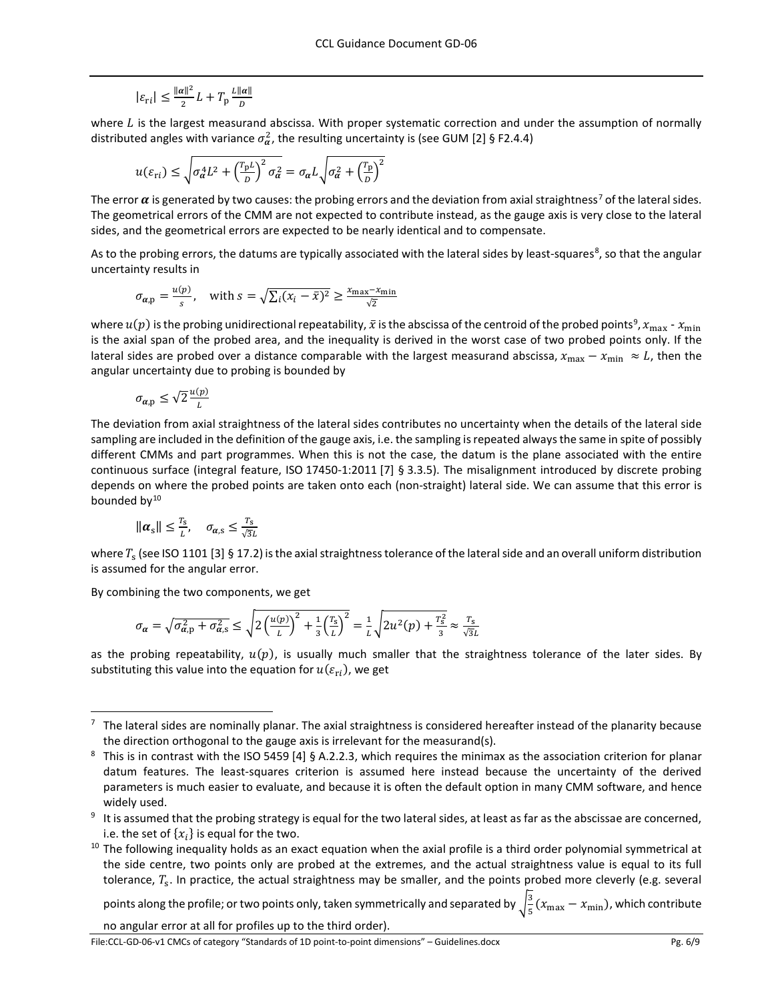$$
|\varepsilon_{\rm ri}| \le \frac{\|\alpha\|^2}{2}L + T_{\rm p}\frac{L\|\alpha\|}{D}
$$

where  *is the largest measurand abscissa. With proper systematic correction and under the assumption of normally* distributed angles with variance  $\sigma_{\alpha}^2$ , the resulting uncertainty is (see GUM [\[2\]](#page-8-1) § F2.4.4)

$$
u(\varepsilon_{\rm{ri}}) \le \sqrt{\sigma_{\alpha}^4 L^2 + \left(\frac{T_{\rm{p}}L}{D}\right)^2 \sigma_{\alpha}^2} = \sigma_{\alpha} L \sqrt{\sigma_{\alpha}^2 + \left(\frac{T_{\rm{p}}}{D}\right)^2}
$$

The error  $\alpha$  is generated by two causes: the probing errors and the deviation from axial straightness<sup>[7](#page-5-0)</sup> of the lateral sides. The geometrical errors of the CMM are not expected to contribute instead, as the gauge axis is very close to the lateral sides, and the geometrical errors are expected to be nearly identical and to compensate.

As to the probing errors, the datums are typically associated with the lateral sides by least-squares<sup>[8](#page-5-1)</sup>, so that the angular uncertainty results in

$$
\sigma_{\alpha, p} = \frac{u(p)}{s}, \quad \text{with } s = \sqrt{\sum_{i} (x_i - \bar{x})^2} \ge \frac{x_{\text{max}} - x_{\text{min}}}{\sqrt{2}}
$$

where  $u(p)$  is the probing unidirectional repeatability,  $\bar{x}$  is the abscissa of the centroid of the probed points<sup>9</sup>,  $x_{\max}$  -  $x_{\min}$ is the axial span of the probed area, and the inequality is derived in the worst case of two probed points only. If the lateral sides are probed over a distance comparable with the largest measurand abscissa,  $x_{\text{max}} - x_{\text{min}} \approx L$ , then the angular uncertainty due to probing is bounded by

$$
\sigma_{\alpha, \mathrm{p}} \le \sqrt{2} \frac{u(p)}{L}
$$

The deviation from axial straightness of the lateral sides contributes no uncertainty when the details of the lateral side sampling are included in the definition of the gauge axis, i.e. the sampling is repeated always the same in spite of possibly different CMMs and part programmes. When this is not the case, the datum is the plane associated with the entire continuous surface (integral feature, ISO 17450-1:2011 [\[7\]](#page-8-2) § 3.3.5). The misalignment introduced by discrete probing depends on where the probed points are taken onto each (non-straight) lateral side. We can assume that this error is bounded by $10$ 

$$
\|\boldsymbol{\alpha}_s\| \leq \frac{r_s}{L}, \quad \sigma_{\boldsymbol{\alpha},s} \leq \frac{r_s}{\sqrt{3}L}
$$

where  $T_s$  (see ISO 1101 [3] § 17.2) is the axial straightness tolerance of the lateral side and an overall uniform distribution is assumed for the angular error.

By combining the two components, we get

$$
\sigma_{\alpha} = \sqrt{\sigma_{\alpha,p}^2 + \sigma_{\alpha,s}^2} \le \sqrt{2\left(\frac{u(p)}{L}\right)^2 + \frac{1}{3}\left(\frac{T_s}{L}\right)^2} = \frac{1}{L}\sqrt{2u^2(p) + \frac{T_s^2}{3}} \approx \frac{T_s}{\sqrt{3}L}
$$

as the probing repeatability,  $u(p)$ , is usually much smaller that the straightness tolerance of the later sides. By substituting this value into the equation for  $u(\varepsilon_{ri})$ , we get

points along the profile; or two points only, taken symmetrically and separated by  $\sqrt{\frac{3}{5}}(x_{\max}-x_{\min})$ , which contribute no angular error at all for profiles up to the third order).

File:CCL-GD-06-v1 CMCs of category "Standards of 1D point-to-point dimensions" – Guidelines.docx Pg. 6/9

<span id="page-5-0"></span> $7$  The lateral sides are nominally planar. The axial straightness is considered hereafter instead of the planarity because the direction orthogonal to the gauge axis is irrelevant for the measurand(s).

<span id="page-5-1"></span><sup>8</sup> This is in contrast with the ISO 5459 [\[4\]](#page-8-3) § A.2.2.3, which requires the minimax as the association criterion for planar datum features. The least-squares criterion is assumed here instead because the uncertainty of the derived parameters is much easier to evaluate, and because it is often the default option in many CMM software, and hence widely used.

<span id="page-5-2"></span> $9$  It is assumed that the probing strategy is equal for the two lateral sides, at least as far as the abscissae are concerned,

<span id="page-5-3"></span>i.e. the set of  $\{x_i\}$  is equal for the two.<br><sup>10</sup> The following inequality holds as an exact equation when the axial profile is a third order polynomial symmetrical at the side centre, two points only are probed at the extremes, and the actual straightness value is equal to its full tolerance,  $T_s$ . In practice, the actual straightness may be smaller, and the points probed more cleverly (e.g. several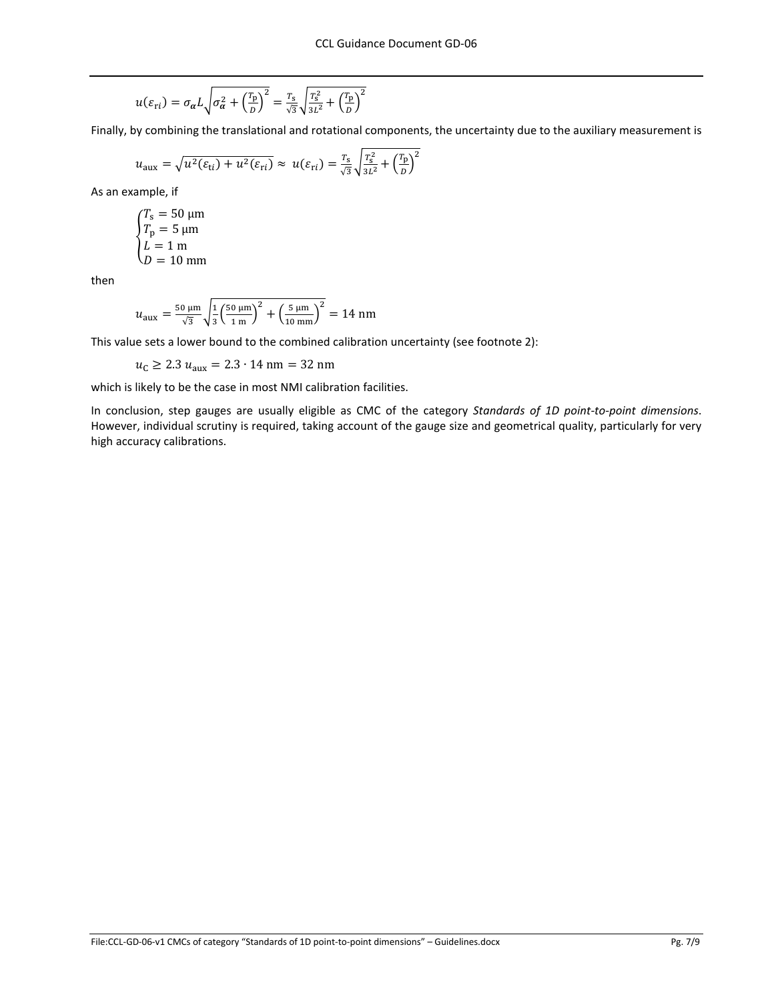$$
u(\varepsilon_{\rm{ri}}) = \sigma_{\alpha} L \sqrt{\sigma_{\alpha}^2 + \left(\frac{T_{\rm{p}}}{D}\right)^2} = \frac{T_{\rm{s}}}{\sqrt{3}} \sqrt{\frac{T_{\rm{s}}^2}{3L^2} + \left(\frac{T_{\rm{p}}}{D}\right)^2}
$$

Finally, by combining the translational and rotational components, the uncertainty due to the auxiliary measurement is

$$
u_{\text{aux}} = \sqrt{u^2(\varepsilon_{\text{ti}}) + u^2(\varepsilon_{\text{ri}})} \approx u(\varepsilon_{\text{ri}}) = \frac{T_s}{\sqrt{3}} \sqrt{\frac{T_s^2}{3L^2} + \left(\frac{T_p}{D}\right)^2}
$$

As an example, if

$$
\begin{cases}\nT_s = 50 \text{ }\mu\text{m} \\
T_p = 5 \text{ }\mu\text{m} \\
L = 1 \text{ m} \\
D = 10 \text{ mm}\n\end{cases}
$$

then

$$
u_{\text{aux}} = \frac{50 \,\mu\text{m}}{\sqrt{3}} \sqrt{\frac{1}{3} \left(\frac{50 \,\mu\text{m}}{1 \,\text{m}}\right)^2 + \left(\frac{5 \,\mu\text{m}}{10 \,\text{mm}}\right)^2} = 14 \,\text{nm}
$$

This value sets a lower bound to the combined calibration uncertainty (see footnote 2):

 $u_c \ge 2.3 u_{\text{aux}} = 2.3 \cdot 14 \text{ nm} = 32 \text{ nm}$ 

which is likely to be the case in most NMI calibration facilities.

In conclusion, step gauges are usually eligible as CMC of the category *Standards of 1D point-to-point dimensions*. However, individual scrutiny is required, taking account of the gauge size and geometrical quality, particularly for very high accuracy calibrations.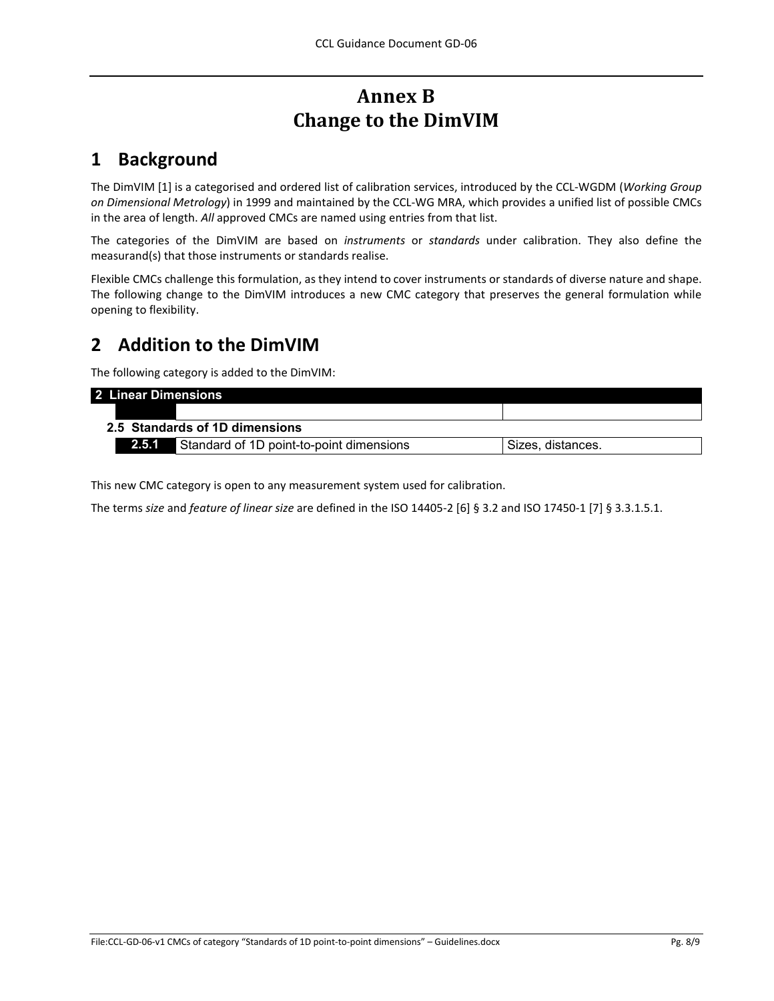# **Annex B Change to the DimVIM**

## **1 Background**

The DimVIM [\[1\]](#page-8-4) is a categorised and ordered list of calibration services, introduced by the CCL-WGDM (*Working Group on Dimensional Metrology*) in 1999 and maintained by the CCL-WG MRA, which provides a unified list of possible CMCs in the area of length. *All* approved CMCs are named using entries from that list.

The categories of the DimVIM are based on *instruments* or *standards* under calibration. They also define the measurand(s) that those instruments or standards realise.

Flexible CMCs challenge this formulation, as they intend to cover instruments or standards of diverse nature and shape. The following change to the DimVIM introduces a new CMC category that preserves the general formulation while opening to flexibility.

## **2 Addition to the DimVIM**

The following category is added to the DimVIM:

| 2 Linear Dimensions            |                                          |                   |
|--------------------------------|------------------------------------------|-------------------|
|                                |                                          |                   |
| 2.5 Standards of 1D dimensions |                                          |                   |
| 2.5.1                          | Standard of 1D point-to-point dimensions | Sizes, distances. |

This new CMC category is open to any measurement system used for calibration.

The terms *size* and *feature of linear size* are defined in the ISO 14405-2 [\[6\]](#page-8-5) § 3.2 and ISO 17450-1 [\[7\]](#page-8-2) § 3.3.1.5.1.